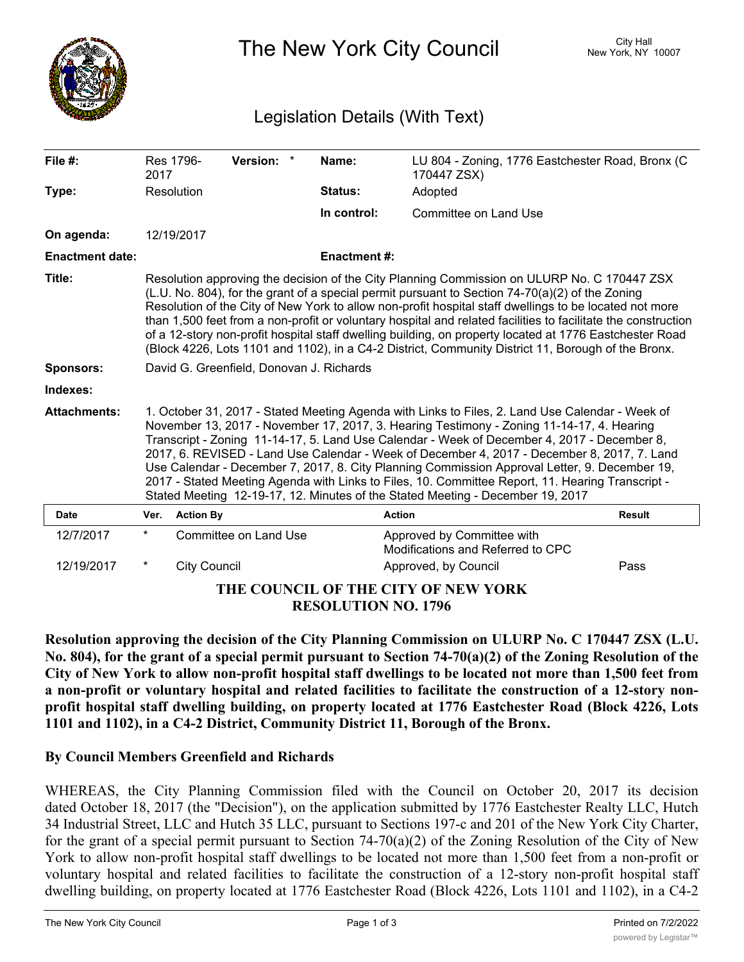

The New York City Council New York, NY 10007

## Legislation Details (With Text)

| File $#$ :                          | 2017                                                                                                                                                                                                                                                                                                                                                                                                                                                                                                                                                                                                                                                                              | Res 1796-           | Version: *            | Name:               | LU 804 - Zoning, 1776 Eastchester Road, Bronx (C<br>170447 ZSX) |               |
|-------------------------------------|-----------------------------------------------------------------------------------------------------------------------------------------------------------------------------------------------------------------------------------------------------------------------------------------------------------------------------------------------------------------------------------------------------------------------------------------------------------------------------------------------------------------------------------------------------------------------------------------------------------------------------------------------------------------------------------|---------------------|-----------------------|---------------------|-----------------------------------------------------------------|---------------|
| Type:                               |                                                                                                                                                                                                                                                                                                                                                                                                                                                                                                                                                                                                                                                                                   | Resolution          |                       | <b>Status:</b>      | Adopted                                                         |               |
|                                     |                                                                                                                                                                                                                                                                                                                                                                                                                                                                                                                                                                                                                                                                                   |                     |                       | In control:         | Committee on Land Use                                           |               |
| On agenda:                          |                                                                                                                                                                                                                                                                                                                                                                                                                                                                                                                                                                                                                                                                                   | 12/19/2017          |                       |                     |                                                                 |               |
| <b>Enactment date:</b>              |                                                                                                                                                                                                                                                                                                                                                                                                                                                                                                                                                                                                                                                                                   |                     |                       | <b>Enactment #:</b> |                                                                 |               |
| Title:                              | Resolution approving the decision of the City Planning Commission on ULURP No. C 170447 ZSX<br>(L.U. No. 804), for the grant of a special permit pursuant to Section $74-70(a)(2)$ of the Zoning<br>Resolution of the City of New York to allow non-profit hospital staff dwellings to be located not more<br>than 1,500 feet from a non-profit or voluntary hospital and related facilities to facilitate the construction<br>of a 12-story non-profit hospital staff dwelling building, on property located at 1776 Eastchester Road<br>(Block 4226, Lots 1101 and 1102), in a C4-2 District, Community District 11, Borough of the Bronx.                                      |                     |                       |                     |                                                                 |               |
| <b>Sponsors:</b>                    | David G. Greenfield, Donovan J. Richards                                                                                                                                                                                                                                                                                                                                                                                                                                                                                                                                                                                                                                          |                     |                       |                     |                                                                 |               |
| Indexes:                            |                                                                                                                                                                                                                                                                                                                                                                                                                                                                                                                                                                                                                                                                                   |                     |                       |                     |                                                                 |               |
| <b>Attachments:</b>                 | 1. October 31, 2017 - Stated Meeting Agenda with Links to Files, 2. Land Use Calendar - Week of<br>November 13, 2017 - November 17, 2017, 3. Hearing Testimony - Zoning 11-14-17, 4. Hearing<br>Transcript - Zoning 11-14-17, 5. Land Use Calendar - Week of December 4, 2017 - December 8,<br>2017, 6. REVISED - Land Use Calendar - Week of December 4, 2017 - December 8, 2017, 7. Land<br>Use Calendar - December 7, 2017, 8. City Planning Commission Approval Letter, 9. December 19,<br>2017 - Stated Meeting Agenda with Links to Files, 10. Committee Report, 11. Hearing Transcript -<br>Stated Meeting 12-19-17, 12. Minutes of the Stated Meeting - December 19, 2017 |                     |                       |                     |                                                                 |               |
| <b>Date</b>                         | Ver.                                                                                                                                                                                                                                                                                                                                                                                                                                                                                                                                                                                                                                                                              | <b>Action By</b>    |                       |                     | <b>Action</b>                                                   | <b>Result</b> |
| 12/7/2017                           | $\star$                                                                                                                                                                                                                                                                                                                                                                                                                                                                                                                                                                                                                                                                           |                     | Committee on Land Use |                     | Approved by Committee with<br>Modifications and Referred to CPC |               |
| 12/19/2017                          | $^\star$                                                                                                                                                                                                                                                                                                                                                                                                                                                                                                                                                                                                                                                                          | <b>City Council</b> |                       |                     | Approved, by Council                                            | Pass          |
| THE COUNCIL OF THE CITY OF NEW YORK |                                                                                                                                                                                                                                                                                                                                                                                                                                                                                                                                                                                                                                                                                   |                     |                       |                     |                                                                 |               |

**RESOLUTION NO. 1796**

**Resolution approving the decision of the City Planning Commission on ULURP No. C 170447 ZSX (L.U.** No. 804), for the grant of a special permit pursuant to Section 74-70(a)(2) of the Zoning Resolution of the City of New York to allow non-profit hospital staff dwellings to be located not more than 1,500 feet from **a non-profit or voluntary hospital and related facilities to facilitate the construction of a 12-story nonprofit hospital staff dwelling building, on property located at 1776 Eastchester Road (Block 4226, Lots 1101 and 1102), in a C4-2 District, Community District 11, Borough of the Bronx.**

## **By Council Members Greenfield and Richards**

WHEREAS, the City Planning Commission filed with the Council on October 20, 2017 its decision dated October 18, 2017 (the "Decision"), on the application submitted by 1776 Eastchester Realty LLC, Hutch 34 Industrial Street, LLC and Hutch 35 LLC, pursuant to Sections 197-c and 201 of the New York City Charter, for the grant of a special permit pursuant to Section 74-70(a)(2) of the Zoning Resolution of the City of New York to allow non-profit hospital staff dwellings to be located not more than 1,500 feet from a non-profit or voluntary hospital and related facilities to facilitate the construction of a 12-story non-profit hospital staff dwelling building, on property located at 1776 Eastchester Road (Block 4226, Lots 1101 and 1102), in a C4-2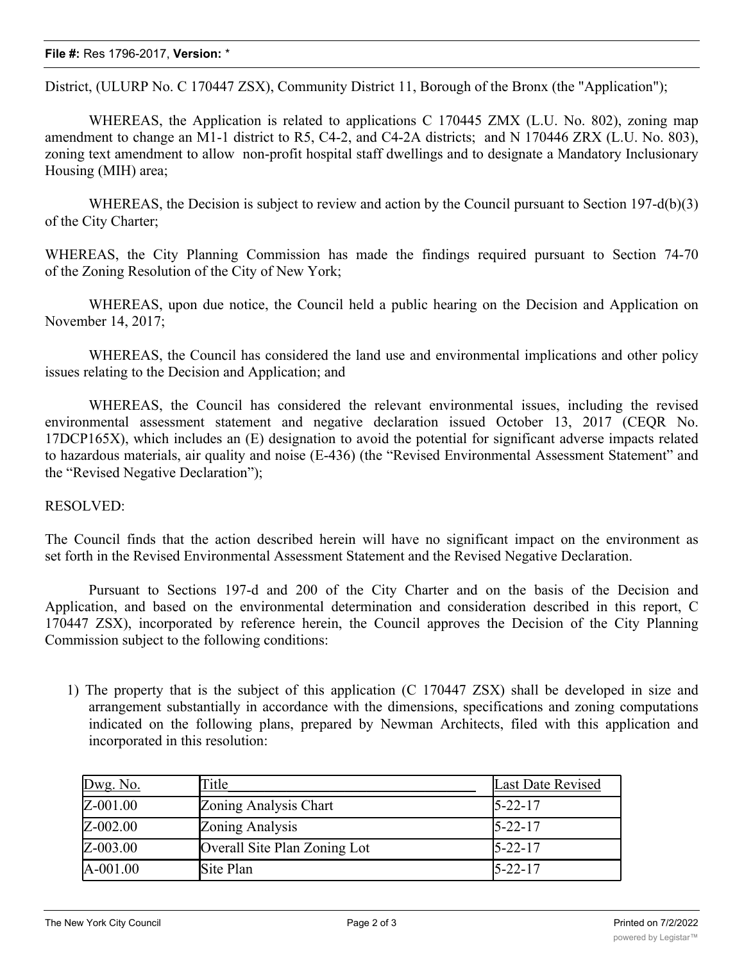## **File #:** Res 1796-2017, **Version:** \*

District, (ULURP No. C 170447 ZSX), Community District 11, Borough of the Bronx (the "Application");

WHEREAS, the Application is related to applications C 170445 ZMX (L.U. No. 802), zoning map amendment to change an M1-1 district to R5, C4-2, and C4-2A districts; and N 170446 ZRX (L.U. No. 803), zoning text amendment to allow non-profit hospital staff dwellings and to designate a Mandatory Inclusionary Housing (MIH) area;

WHEREAS, the Decision is subject to review and action by the Council pursuant to Section 197-d(b)(3) of the City Charter;

WHEREAS, the City Planning Commission has made the findings required pursuant to Section 74-70 of the Zoning Resolution of the City of New York;

WHEREAS, upon due notice, the Council held a public hearing on the Decision and Application on November 14, 2017;

WHEREAS, the Council has considered the land use and environmental implications and other policy issues relating to the Decision and Application; and

WHEREAS, the Council has considered the relevant environmental issues, including the revised environmental assessment statement and negative declaration issued October 13, 2017 (CEQR No. 17DCP165X), which includes an (E) designation to avoid the potential for significant adverse impacts related to hazardous materials, air quality and noise (E-436) (the "Revised Environmental Assessment Statement" and the "Revised Negative Declaration");

## RESOLVED:

The Council finds that the action described herein will have no significant impact on the environment as set forth in the Revised Environmental Assessment Statement and the Revised Negative Declaration.

Pursuant to Sections 197-d and 200 of the City Charter and on the basis of the Decision and Application, and based on the environmental determination and consideration described in this report, C 170447 ZSX), incorporated by reference herein, the Council approves the Decision of the City Planning Commission subject to the following conditions:

1) The property that is the subject of this application (C 170447 ZSX) shall be developed in size and arrangement substantially in accordance with the dimensions, specifications and zoning computations indicated on the following plans, prepared by Newman Architects, filed with this application and incorporated in this resolution:

| Dwg. No.     | Title                        | Last Date Revised |
|--------------|------------------------------|-------------------|
| Z-001.00     | Zoning Analysis Chart        | $5 - 22 - 17$     |
| Z-002.00     | Zoning Analysis              | $5 - 22 - 17$     |
| Z-003.00     | Overall Site Plan Zoning Lot | $5 - 22 - 17$     |
| $A - 001.00$ | Site Plan                    | $5 - 22 - 17$     |